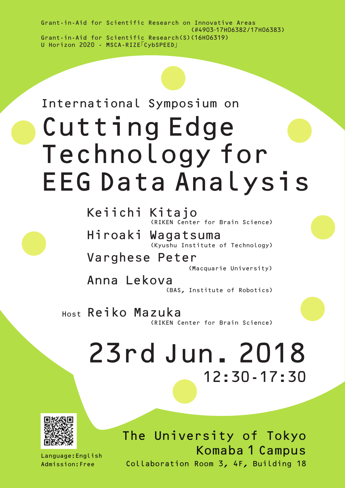Grant-in-Aid for Scientific Research(S)(16H06319) Grant-in-Aid for Scientific Research on Innovative Areas (#4903-17H06382/17H06383) U Horizon 2020 - MSCA-RIZE「CybSPEED」

# EEG Data Analysis Cutting Edge Technology for International Symposium on

Keiichi Kitajo (RIKEN Center for Brain Science)

Hiroaki Wagatsuma (Kyushu Institute of Technology)

Varghese Peter

(Macquarie University)

Anna Lekova

(BAS, Institute of Robotics)

Host Reiko Mazuka (RIKEN Center for Brain Science)

# 12:30-17:30 23rd Jun. 2018



Language:English Admission:Free

The University of Tokyo Komaba 1 Campus Collaboration Room 3, 4F, Building 18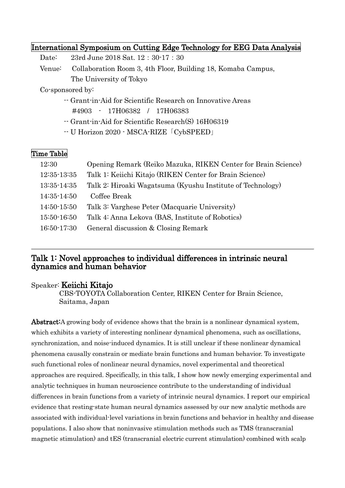#### International Symposium on Cutting Edge Technology for EEG Data Analysis

Date: 23rd June 2018 Sat. 12:30-17:30

Venue: Collaboration Room 3, 4th Floor, Building 18, Komaba Campus, The University of Tokyo

Co-sponsored by:

- -- Grant-in-Aid for Scientific Research on Innovative Areas #4903 - 17H06382 / 17H06383
- -- Grant-in-Aid for Scientific Research(S) 16H06319
- -- U Horizon 2020 MSCA-RIZE「CybSPEED」

# Time Table

| 12:30       | Opening Remark (Reiko Mazuka, RIKEN Center for Brain Science) |
|-------------|---------------------------------------------------------------|
| 12:35-13:35 | Talk 1: Keiichi Kitajo (RIKEN Center for Brain Science)       |
| 13:35-14:35 | Talk 2: Hiroaki Wagatsuma (Kyushu Institute of Technology)    |
| 14:35-14:50 | Coffee Break                                                  |
| 14:50-15:50 | Talk 3: Varghese Peter (Macquarie University)                 |
| 15:50-16:50 | Talk 4: Anna Lekova (BAS, Institute of Robotics)              |
| 16:50-17:30 | General discussion & Closing Remark                           |

#### Talk 1: Novel approaches to individual differences in intrinsic neural dynamics and human behavior

#### Speaker: Keiichi Kitajo

CBS-TOYOTA Collaboration Center, RIKEN Center for Brain Science, Saitama, Japan

Abstract: A growing body of evidence shows that the brain is a nonlinear dynamical system, which exhibits a variety of interesting nonlinear dynamical phenomena, such as oscillations, synchronization, and noise-induced dynamics. It is still unclear if these nonlinear dynamical phenomena causally constrain or mediate brain functions and human behavior. To investigate such functional roles of nonlinear neural dynamics, novel experimental and theoretical approaches are required. Specifically, in this talk, I show how newly emerging experimental and analytic techniques in human neuroscience contribute to the understanding of individual differences in brain functions from a variety of intrinsic neural dynamics. I report our empirical evidence that resting-state human neural dynamics assessed by our new analytic methods are associated with individual-level variations in brain functions and behavior in healthy and disease populations. I also show that noninvasive stimulation methods such as TMS (transcranial magnetic stimulation) and tES (transcranial electric current stimulation) combined with scalp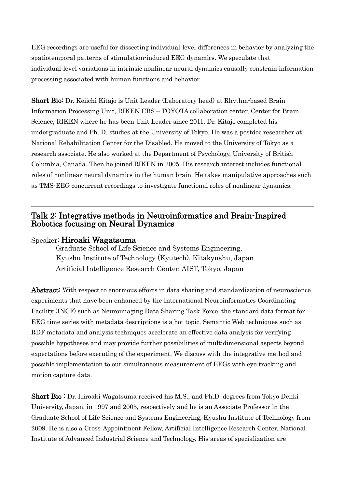EEG recordings are useful for dissecting individual-level differences in behavior by analyzing the spatiotemporal patterns of stimulation-induced EEG dynamics. We speculate that individual-level variations in intrinsic nonlinear neural dynamics causally constrain information processing associated with human functions and behavior.

**Short Bio:** Dr. Keiichi Kitajo is Unit Leader (Laboratory head) at Rhythm-based Brain Information Processing Unit, RIKEN CBS – TOYOTA collaboration center, Center for Brain Science, RIKEN where he has been Unit Leader since 2011. Dr. Kitajo completed his undergraduate and Ph. D. studies at the University of Tokyo. He was a postdoc researcher at National Rehabilitation Center for the Disabled. He moved to the University of Tokyo as a research associate. He also worked at the Department of Psychology, University of British Columbia, Canada. Then he joined RIKEN in 2005. His research interest includes functional roles of nonlinear neural dynamics in the human brain. He takes manipulative approaches such as TMS-EEG concurrent recordings to investigate functional roles of nonlinear dynamics.

# Talk 2: Integrative methods in Neuroinformatics and Brain-Inspired Robotics focusing on Neural Dynamics

#### Speaker: Hiroaki Wagatsuma

Graduate School of Life Science and Systems Engineering, Kyushu Institute of Technology (Kyutech), Kitakyushu, Japan Artificial Intelligence Research Center, AIST, Tokyo, Japan

Abstract: With respect to enormous efforts in data sharing and standardization of neuroscience experiments that have been enhanced by the International Neuroinformatics Coordinating Facility (INCF) such as Neuroimaging Data Sharing Task Force, the standard data format for EEG time series with metadata descriptions is a hot topic. Semantic Web techniques such as RDF metadata and analysis techniques accelerate an effective data analysis for verifying possible hypotheses and may provide further possibilities of multidimensional aspects beyond expectations before executing of the experiment. We discuss with the integrative method and possible implementation to our simultaneous measurement of EEGs with eye-tracking and motion capture data.

**Short Bio:** Dr. Hiroaki Wagatsuma received his M.S., and Ph.D. degrees from Tokyo Denki University, Japan, in 1997 and 2005, respectively and he is an Associate Professor in the Graduate School of Life Science and Systems Engineering, Kyushu Institute of Technology from 2009. He is also a Cross-Appointment Fellow, Artificial Intelligence Research Center, National Institute of Advanced Industrial Science and Technology. His areas of specialization are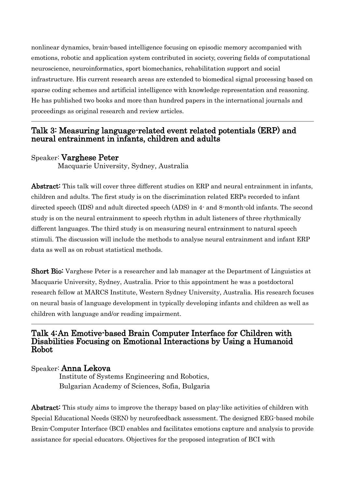nonlinear dynamics, brain-based intelligence focusing on episodic memory accompanied with emotions, robotic and application system contributed in society, covering fields of computational neuroscience, neuroinformatics, sport biomechanics, rehabilitation support and social infrastructure. His current research areas are extended to biomedical signal processing based on sparse coding schemes and artificial intelligence with knowledge representation and reasoning. He has published two books and more than hundred papers in the international journals and proceedings as original research and review articles.

# Talk 3: Measuring language-related event related potentials (ERP) and neural entrainment in infants, children and adults

### Speaker: Varghese Peter

Macquarie University, Sydney, Australia

Abstract: This talk will cover three different studies on ERP and neural entrainment in infants, children and adults. The first study is on the discrimination related ERPs recorded to infant directed speech (IDS) and adult directed speech (ADS) in 4- and 8-month-old infants. The second study is on the neural entrainment to speech rhythm in adult listeners of three rhythmically different languages. The third study is on measuring neural entrainment to natural speech stimuli. The discussion will include the methods to analyse neural entrainment and infant ERP data as well as on robust statistical methods.

**Short Bio:** Varghese Peter is a researcher and lab manager at the Department of Linguistics at Macquarie University, Sydney, Australia. Prior to this appointment he was a postdoctoral research fellow at MARCS Institute, Western Sydney University, Australia. His research focuses on neural basis of language development in typically developing infants and children as well as children with language and/or reading impairment.

### Talk 4: An Emotive-based Brain Computer Interface for Children with Disabilities Focusing on Emotional Interactions by Using a Humanoid Robot

#### Speaker: Anna Lekova

Institute of Systems Engineering and Robotics, Bulgarian Academy of Sciences, Sofia, Bulgaria

Abstract: This study aims to improve the therapy based on play-like activities of children with Special Educational Needs (SEN) by neurofeedback assessment. The designed EEG-based mobile Brain-Computer Interface (BCI) enables and facilitates emotions capture and analysis to provide assistance for special educators. Objectives for the proposed integration of BCI with